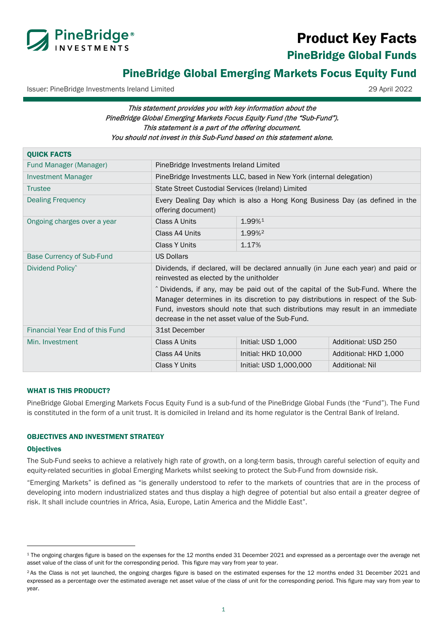

# Product Key Facts

<span id="page-0-0"></span>PineBridge Global Funds

# PineBridge Global Emerging Markets Focus Equity Fund

Issuer: PineBridge Investments Ireland Limited 29 April 2022

# This statement provides you with key information about the PineBridge Global Emerging Markets Focus Equity Fund (the "Sub-Fund"). This statement is a part of the offering document. You should not invest in this Sub-Fund based on this statement alone.

| <b>QUICK FACTS</b>               |                                                                                                                                                                                                                                                                                                          |                        |                        |
|----------------------------------|----------------------------------------------------------------------------------------------------------------------------------------------------------------------------------------------------------------------------------------------------------------------------------------------------------|------------------------|------------------------|
| Fund Manager (Manager)           | PineBridge Investments Ireland Limited                                                                                                                                                                                                                                                                   |                        |                        |
| <b>Investment Manager</b>        | PineBridge Investments LLC, based in New York (internal delegation)                                                                                                                                                                                                                                      |                        |                        |
| <b>Trustee</b>                   | State Street Custodial Services (Ireland) Limited                                                                                                                                                                                                                                                        |                        |                        |
| Dealing Frequency                | Every Dealing Day which is also a Hong Kong Business Day (as defined in the<br>offering document)                                                                                                                                                                                                        |                        |                        |
| Ongoing charges over a year      | Class A Units                                                                                                                                                                                                                                                                                            | 1.99%1                 |                        |
|                                  | Class A4 Units                                                                                                                                                                                                                                                                                           | 1.99% <sup>2</sup>     |                        |
|                                  | <b>Class Y Units</b>                                                                                                                                                                                                                                                                                     | 1.17%                  |                        |
| <b>Base Currency of Sub-Fund</b> | <b>US Dollars</b>                                                                                                                                                                                                                                                                                        |                        |                        |
| Dividend Policy <sup>^</sup>     | Dividends, if declared, will be declared annually (in June each year) and paid or<br>reinvested as elected by the unitholder                                                                                                                                                                             |                        |                        |
|                                  | ^ Dividends, if any, may be paid out of the capital of the Sub-Fund. Where the<br>Manager determines in its discretion to pay distributions in respect of the Sub-<br>Fund, investors should note that such distributions may result in an immediate<br>decrease in the net asset value of the Sub-Fund. |                        |                        |
| Financial Year End of this Fund  | 31st December                                                                                                                                                                                                                                                                                            |                        |                        |
| Min. Investment                  | Class A Units                                                                                                                                                                                                                                                                                            | Initial: USD 1,000     | Additional: USD 250    |
|                                  | Class A4 Units                                                                                                                                                                                                                                                                                           | Initial: HKD 10,000    | Additional: HKD 1,000  |
|                                  | <b>Class Y Units</b>                                                                                                                                                                                                                                                                                     | Initial: USD 1,000,000 | <b>Additional: Nil</b> |

## WHAT IS THIS PRODUCT?

PineBridge Global Emerging Markets Focus Equity Fund is a sub-fund of the PineBridge Global Funds (the "Fund"). The Fund is constituted in the form of a unit trust. It is domiciled in Ireland and its home regulator is the Central Bank of Ireland.

#### OBJECTIVES AND INVESTMENT STRATEGY

#### **Objectives**

The Sub-Fund seeks to achieve a relatively high rate of growth, on a long-term basis, through careful selection of equity and equity-related securities in global Emerging Markets whilst seeking to protect the Sub-Fund from downside risk.

"Emerging Markets" is defined as "is generally understood to refer to the markets of countries that are in the process of developing into modern industrialized states and thus display a high degree of potential but also entail a greater degree of risk. It shall include countries in Africa, Asia, Europe, Latin America and the Middle East".

<span id="page-0-1"></span><sup>1</sup> The ongoing charges figure is based on the expenses for the 12 months ended 31 December 2021 and expressed as a percentage over the average net asset value of the class of unit for the corresponding period. This figure may vary from year to year.

<span id="page-0-2"></span><sup>&</sup>lt;sup>2</sup> As the Class is not yet launched, the ongoing charges figure is based on the estimated expenses for the 12 months ended 31 December 2021 and expressed as a percentage over the estimated average net asset value of the class of unit for the corresponding period. This figure may vary from year to year.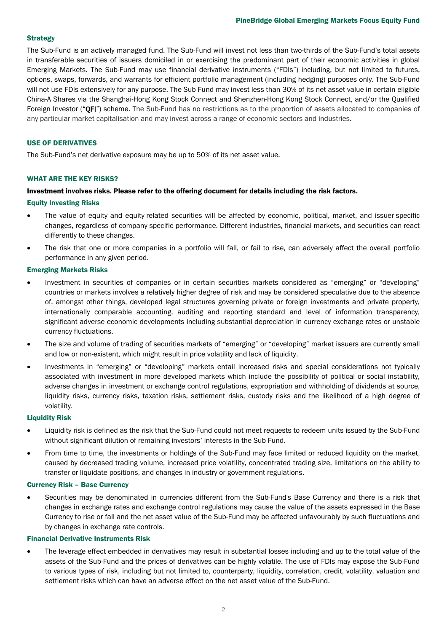#### **Strategy**

The Sub-Fund is an actively managed fund. The Sub-Fund will invest not less than two-thirds of the Sub-Fund's total assets in transferable securities of issuers domiciled in or exercising the predominant part of their economic activities in global Emerging Markets. The Sub-Fund may use financial derivative instruments ("FDIs") including, but not limited to futures, options, swaps, forwards, and warrants for efficient portfolio management (including hedging) purposes only. The Sub-Fund will not use FDIs extensively for any purpose. The Sub-Fund may invest less than 30% of its net asset value in certain eligible China-A Shares via the Shanghai-Hong Kong Stock Connect and Shenzhen-Hong Kong Stock Connect, and/or the Qualified Foreign Investor ("QFI") scheme. The Sub-Fund has no restrictions as to the proportion of assets allocated to companies of any particular market capitalisation and may invest across a range of economic sectors and industries.

#### USE OF DERIVATIVES

The Sub-Fund's net derivative exposure may be up to 50% of its net asset value.

#### WHAT ARE THE KEY RISKS?

#### Investment involves risks. Please refer to the offering document for details including the risk factors.

#### Equity Investing Risks

- The value of equity and equity-related securities will be affected by economic, political, market, and issuer-specific changes, regardless of company specific performance. Different industries, financial markets, and securities can react differently to these changes.
- The risk that one or more companies in a portfolio will fall, or fail to rise, can adversely affect the overall portfolio performance in any given period.

#### Emerging Markets Risks

- Investment in securities of companies or in certain securities markets considered as "emerging" or "developing" countries or markets involves a relatively higher degree of risk and may be considered speculative due to the absence of, amongst other things, developed legal structures governing private or foreign investments and private property, internationally comparable accounting, auditing and reporting standard and level of information transparency, significant adverse economic developments including substantial depreciation in currency exchange rates or unstable currency fluctuations.
- The size and volume of trading of securities markets of "emerging" or "developing" market issuers are currently small and low or non-existent, which might result in price volatility and lack of liquidity.
- Investments in "emerging" or "developing" markets entail increased risks and special considerations not typically associated with investment in more developed markets which include the possibility of political or social instability, adverse changes in investment or exchange control regulations, expropriation and withholding of dividends at source, liquidity risks, currency risks, taxation risks, settlement risks, custody risks and the likelihood of a high degree of volatility.

#### Liquidity Risk

- Liquidity risk is defined as the risk that the Sub-Fund could not meet requests to redeem units issued by the Sub-Fund without significant dilution of remaining investors' interests in the Sub-Fund.
- From time to time, the investments or holdings of the Sub-Fund may face limited or reduced liquidity on the market, caused by decreased trading volume, increased price volatility, concentrated trading size, limitations on the ability to transfer or liquidate positions, and changes in industry or government regulations.

#### Currency Risk – Base Currency

• Securities may be denominated in currencies different from the Sub-Fund's Base Currency and there is a risk that changes in exchange rates and exchange control regulations may cause the value of the assets expressed in the Base Currency to rise or fall and the net asset value of the Sub-Fund may be affected unfavourably by such fluctuations and by changes in exchange rate controls.

#### Financial Derivative Instruments Risk

• The leverage effect embedded in derivatives may result in substantial losses including and up to the total value of the assets of the Sub-Fund and the prices of derivatives can be highly volatile. The use of FDIs may expose the Sub-Fund to various types of risk, including but not limited to, counterparty, liquidity, correlation, credit, volatility, valuation and settlement risks which can have an adverse effect on the net asset value of the Sub-Fund.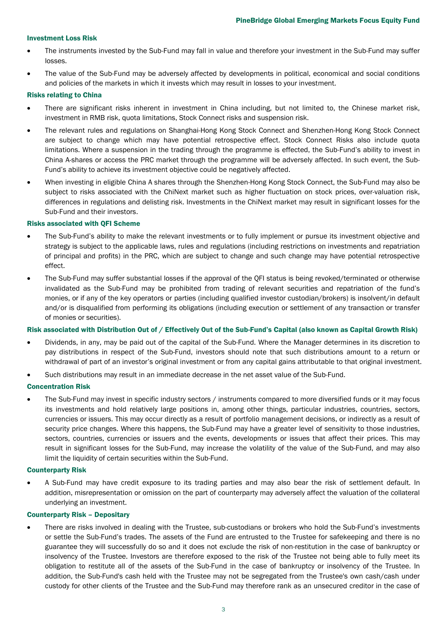#### Investment Loss Risk

- The instruments invested by the Sub-Fund may fall in value and therefore your investment in the Sub-Fund may suffer losses.
- The value of the Sub-Fund may be adversely affected by developments in political, economical and social conditions and policies of the markets in which it invests which may result in losses to your investment.

#### Risks relating to China

- There are significant risks inherent in investment in China including, but not limited to, the Chinese market risk, investment in RMB risk, quota limitations, Stock Connect risks and suspension risk.
- The relevant rules and regulations on Shanghai-Hong Kong Stock Connect and Shenzhen-Hong Kong Stock Connect are subject to change which may have potential retrospective effect. Stock Connect Risks also include quota limitations. Where a suspension in the trading through the programme is effected, the Sub-Fund's ability to invest in China A-shares or access the PRC market through the programme will be adversely affected. In such event, the Sub-Fund's ability to achieve its investment objective could be negatively affected.
- When investing in eligible China A shares through the Shenzhen-Hong Kong Stock Connect, the Sub-Fund may also be subject to risks associated with the ChiNext market such as higher fluctuation on stock prices, over-valuation risk, differences in regulations and delisting risk. Investments in the ChiNext market may result in significant losses for the Sub-Fund and their investors.

#### Risks associated with QFI Scheme

- The Sub-Fund's ability to make the relevant investments or to fully implement or pursue its investment objective and strategy is subject to the applicable laws, rules and regulations (including restrictions on investments and repatriation of principal and profits) in the PRC, which are subject to change and such change may have potential retrospective effect.
- The Sub-Fund may suffer substantial losses if the approval of the QFI status is being revoked/terminated or otherwise invalidated as the Sub-Fund may be prohibited from trading of relevant securities and repatriation of the fund's monies, or if any of the key operators or parties (including qualified investor custodian/brokers) is insolvent/in default and/or is disqualified from performing its obligations (including execution or settlement of any transaction or transfer of monies or securities).

#### Risk associated with Distribution Out of / Effectively Out of the Sub-Fund's Capital (also known as Capital Growth Risk)

- Dividends, in any, may be paid out of the capital of the Sub-Fund. Where the Manager determines in its discretion to pay distributions in respect of the Sub-Fund, investors should note that such distributions amount to a return or withdrawal of part of an investor's original investment or from any capital gains attributable to that original investment.
- Such distributions may result in an immediate decrease in the net asset value of the Sub-Fund.

#### Concentration Risk

The Sub-Fund may invest in specific industry sectors / instruments compared to more diversified funds or it may focus its investments and hold relatively large positions in, among other things, particular industries, countries, sectors, currencies or issuers. This may occur directly as a result of portfolio management decisions, or indirectly as a result of security price changes. Where this happens, the Sub-Fund may have a greater level of sensitivity to those industries, sectors, countries, currencies or issuers and the events, developments or issues that affect their prices. This may result in significant losses for the Sub-Fund, may increase the volatility of the value of the Sub-Fund, and may also limit the liquidity of certain securities within the Sub-Fund.

#### Counterparty Risk

• A Sub-Fund may have credit exposure to its trading parties and may also bear the risk of settlement default. In addition, misrepresentation or omission on the part of counterparty may adversely affect the valuation of the collateral underlying an investment.

#### Counterparty Risk – Depositary

• There are risks involved in dealing with the Trustee, sub-custodians or brokers who hold the Sub-Fund's investments or settle the Sub-Fund's trades. The assets of the Fund are entrusted to the Trustee for safekeeping and there is no guarantee they will successfully do so and it does not exclude the risk of non-restitution in the case of bankruptcy or insolvency of the Trustee. Investors are therefore exposed to the risk of the Trustee not being able to fully meet its obligation to restitute all of the assets of the Sub-Fund in the case of bankruptcy or insolvency of the Trustee. In addition, the Sub-Fund's cash held with the Trustee may not be segregated from the Trustee's own cash/cash under custody for other clients of the Trustee and the Sub-Fund may therefore rank as an unsecured creditor in the case of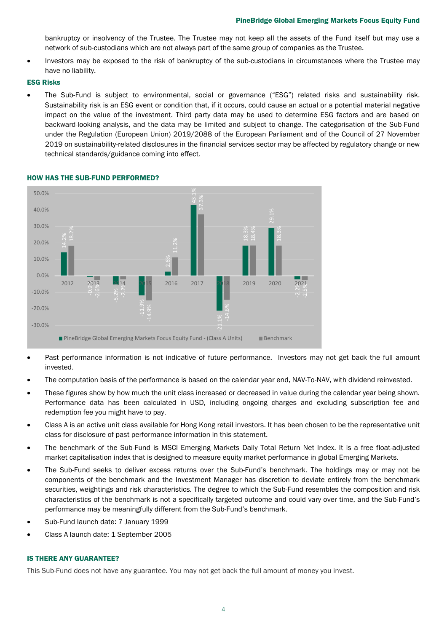bankruptcy or insolvency of the Trustee. The Trustee may not keep all the assets of the Fund itself but may use a network of sub-custodians which are not always part of the same group of companies as the Trustee.

• Investors may be exposed to the risk of bankruptcy of the sub-custodians in circumstances where the Trustee may have no liability.

#### ESG Risks

• The Sub-Fund is subject to environmental, social or governance ("ESG") related risks and sustainability risk. Sustainability risk is an ESG event or condition that, if it occurs, could cause an actual or a potential material negative impact on the value of the investment. Third party data may be used to determine ESG factors and are based on backward-looking analysis, and the data may be limited and subject to change. The categorisation of the Sub-Fund under the Regulation (European Union) 2019/2088 of the European Parliament and of the Council of 27 November 2019 on sustainability-related disclosures in the financial services sector may be affected by regulatory change or new technical standards/guidance coming into effect.



### HOW HAS THE SUB-FUND PERFORMED?

- Past performance information is not indicative of future performance. Investors may not get back the full amount invested.
- The computation basis of the performance is based on the calendar year end, NAV-To-NAV, with dividend reinvested.
- These figures show by how much the unit class increased or decreased in value during the calendar year being shown. Performance data has been calculated in USD, including ongoing charges and excluding subscription fee and redemption fee you might have to pay.
- Class A is an active unit class available for Hong Kong retail investors. It has been chosen to be the representative unit class for disclosure of past performance information in this statement.
- The benchmark of the Sub-Fund is MSCI Emerging Markets Daily Total Return Net Index. It is a free float-adjusted market capitalisation index that is designed to measure equity market performance in global Emerging Markets.
- The Sub-Fund seeks to deliver excess returns over the Sub-Fund's benchmark. The holdings may or may not be components of the benchmark and the Investment Manager has discretion to deviate entirely from the benchmark securities, weightings and risk characteristics. The degree to which the Sub-Fund resembles the composition and risk characteristics of the benchmark is not a specifically targeted outcome and could vary over time, and the Sub-Fund's performance may be meaningfully different from the Sub-Fund's benchmark.
- Sub-Fund launch date: 7 January 1999
- Class A launch date: 1 September 2005

#### IS THERE ANY GUARANTEE?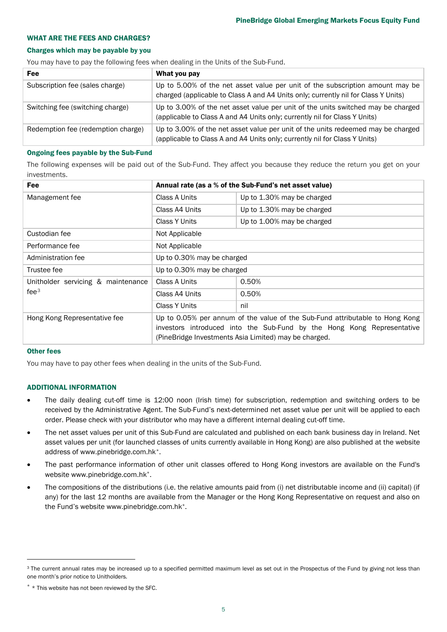#### WHAT ARE THE FEES AND CHARGES?

#### Charges which may be payable by you

You may have to pay the following fees when dealing in the Units of the Sub-Fund.

| Fee                                | What you pay                                                                                                                                                        |
|------------------------------------|---------------------------------------------------------------------------------------------------------------------------------------------------------------------|
| Subscription fee (sales charge)    | Up to 5.00% of the net asset value per unit of the subscription amount may be<br>charged (applicable to Class A and A4 Units only; currently nil for Class Y Units) |
| Switching fee (switching charge)   | Up to 3.00% of the net asset value per unit of the units switched may be charged<br>(applicable to Class A and A4 Units only; currently nil for Class Y Units)      |
| Redemption fee (redemption charge) | Up to 3.00% of the net asset value per unit of the units redeemed may be charged<br>(applicable to Class A and A4 Units only; currently nil for Class Y Units)      |

#### Ongoing fees payable by the Sub-Fund

The following expenses will be paid out of the Sub-Fund. They affect you because they reduce the return you get on your investments.

| Fee                                                    | Annual rate (as a % of the Sub-Fund's net asset value)                                                                                                                                                          |                            |  |
|--------------------------------------------------------|-----------------------------------------------------------------------------------------------------------------------------------------------------------------------------------------------------------------|----------------------------|--|
| Management fee                                         | Class A Units                                                                                                                                                                                                   | Up to 1.30% may be charged |  |
|                                                        | Class A4 Units                                                                                                                                                                                                  | Up to 1.30% may be charged |  |
|                                                        | Class Y Units                                                                                                                                                                                                   | Up to 1.00% may be charged |  |
| Custodian fee                                          | Not Applicable                                                                                                                                                                                                  |                            |  |
| Performance fee                                        | Not Applicable                                                                                                                                                                                                  |                            |  |
| Administration fee                                     | Up to 0.30% may be charged                                                                                                                                                                                      |                            |  |
| Trustee fee                                            | Up to 0.30% may be charged                                                                                                                                                                                      |                            |  |
| Unitholder servicing & maintenance<br>fee <sup>3</sup> | Class A Units                                                                                                                                                                                                   | 0.50%                      |  |
|                                                        | Class A4 Units                                                                                                                                                                                                  | 0.50%                      |  |
|                                                        | Class Y Units                                                                                                                                                                                                   | nil                        |  |
| Hong Kong Representative fee                           | Up to 0.05% per annum of the value of the Sub-Fund attributable to Hong Kong<br>investors introduced into the Sub-Fund by the Hong Kong Representative<br>(PineBridge Investments Asia Limited) may be charged. |                            |  |

#### Other fees

You may have to pay other fees when dealing in the units of the Sub-Fund.

#### ADDITIONAL INFORMATION

- The daily dealing cut-off time is 12:00 noon (Irish time) for subscription, redemption and switching orders to be received by the Administrative Agent. The Sub-Fund's next-determined net asset value per unit will be applied to each order. Please check with your distributor who may have a different internal dealing cut-off time.
- The net asset values per unit of this Sub-Fund are calculated and published on each bank business day in Ireland. Net asset values per unit (for launched classes of units currently available in Hong Kong) are also published at the website address of www.pinebridge.com.hk[\\*.](#page-4-1)
- The past performance information of other unit classes offered to Hong Kong investors are available on the Fund's website www.pinebridge.com.hk\*.
- The compositions of the distributions (i.e. the relative amounts paid from (i) net distributable income and (ii) capital) (if any) for the last 12 months are available from the Manager or the Hong Kong Representative on request and also on the Fund's website www.pinebridge.com.hk\*.

<span id="page-4-0"></span><sup>&</sup>lt;sup>3</sup> The current annual rates may be increased up to a specified permitted maximum level as set out in the Prospectus of the Fund by giving not less than one month's prior notice to Unitholders.

<span id="page-4-1"></span> $*$  \* This website has not been reviewed by the SFC.